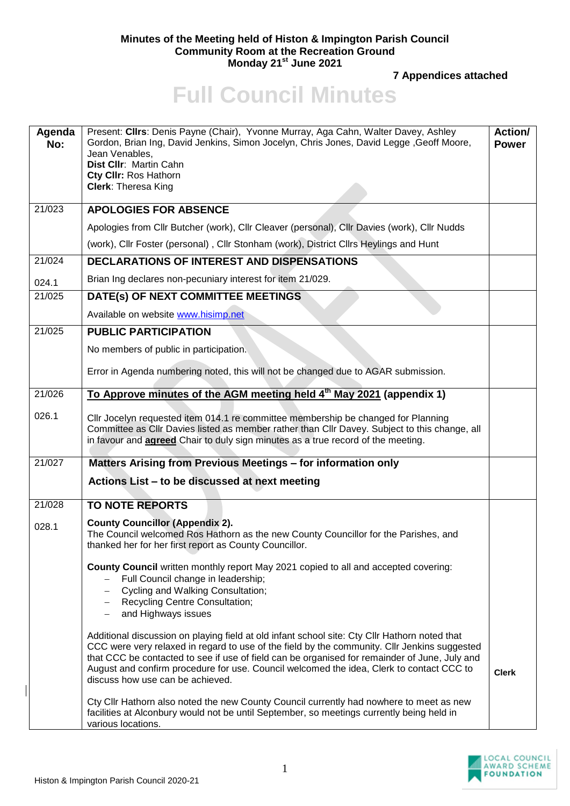## **Minutes of the Meeting held of Histon & Impington Parish Council Community Room at the Recreation Ground Monday 21st June 2021**

**7 Appendices attached**

## **Full Council Minutes**

| Agenda<br>No: | Present: Cllrs: Denis Payne (Chair), Yvonne Murray, Aga Cahn, Walter Davey, Ashley<br>Gordon, Brian Ing, David Jenkins, Simon Jocelyn, Chris Jones, David Legge, Geoff Moore,<br>Jean Venables,<br>Dist Cllr: Martin Cahn<br>Cty CIIr: Ros Hathorn<br><b>Clerk: Theresa King</b>                                                                                                                                                                                                                                          | Action/<br><b>Power</b> |
|---------------|---------------------------------------------------------------------------------------------------------------------------------------------------------------------------------------------------------------------------------------------------------------------------------------------------------------------------------------------------------------------------------------------------------------------------------------------------------------------------------------------------------------------------|-------------------------|
| 21/023        | <b>APOLOGIES FOR ABSENCE</b>                                                                                                                                                                                                                                                                                                                                                                                                                                                                                              |                         |
|               | Apologies from Cllr Butcher (work), Cllr Cleaver (personal), Cllr Davies (work), Cllr Nudds                                                                                                                                                                                                                                                                                                                                                                                                                               |                         |
|               | (work), Cllr Foster (personal), Cllr Stonham (work), District Cllrs Heylings and Hunt                                                                                                                                                                                                                                                                                                                                                                                                                                     |                         |
| 21/024        | <b>DECLARATIONS OF INTEREST AND DISPENSATIONS</b>                                                                                                                                                                                                                                                                                                                                                                                                                                                                         |                         |
| 024.1         | Brian Ing declares non-pecuniary interest for item 21/029.                                                                                                                                                                                                                                                                                                                                                                                                                                                                |                         |
| 21/025        | DATE(s) OF NEXT COMMITTEE MEETINGS                                                                                                                                                                                                                                                                                                                                                                                                                                                                                        |                         |
|               | Available on website www.hisimp.net                                                                                                                                                                                                                                                                                                                                                                                                                                                                                       |                         |
| 21/025        | <b>PUBLIC PARTICIPATION</b>                                                                                                                                                                                                                                                                                                                                                                                                                                                                                               |                         |
|               | No members of public in participation.                                                                                                                                                                                                                                                                                                                                                                                                                                                                                    |                         |
|               | Error in Agenda numbering noted, this will not be changed due to AGAR submission.                                                                                                                                                                                                                                                                                                                                                                                                                                         |                         |
| 21/026        | To Approve minutes of the AGM meeting held 4th May 2021 (appendix 1)                                                                                                                                                                                                                                                                                                                                                                                                                                                      |                         |
| 026.1         | Cllr Jocelyn requested item 014.1 re committee membership be changed for Planning<br>Committee as Cllr Davies listed as member rather than Cllr Davey. Subject to this change, all<br>in favour and <b>agreed</b> Chair to duly sign minutes as a true record of the meeting.                                                                                                                                                                                                                                             |                         |
| 21/027        | Matters Arising from Previous Meetings - for information only                                                                                                                                                                                                                                                                                                                                                                                                                                                             |                         |
|               | Actions List - to be discussed at next meeting                                                                                                                                                                                                                                                                                                                                                                                                                                                                            |                         |
| 21/028        | <b>TO NOTE REPORTS</b>                                                                                                                                                                                                                                                                                                                                                                                                                                                                                                    |                         |
| 028.1         | <b>County Councillor (Appendix 2).</b><br>The Council welcomed Ros Hathorn as the new County Councillor for the Parishes, and<br>thanked her for her first report as County Councillor.                                                                                                                                                                                                                                                                                                                                   |                         |
|               | County Council written monthly report May 2021 copied to all and accepted covering:<br>Full Council change in leadership;<br>Cycling and Walking Consultation;<br>Recycling Centre Consultation;<br>and Highways issues                                                                                                                                                                                                                                                                                                   |                         |
|               | Additional discussion on playing field at old infant school site: Cty Cllr Hathorn noted that<br>CCC were very relaxed in regard to use of the field by the community. Cllr Jenkins suggested<br>that CCC be contacted to see if use of field can be organised for remainder of June, July and<br>August and confirm procedure for use. Council welcomed the idea, Clerk to contact CCC to<br>discuss how use can be achieved.<br>Cty Cllr Hathorn also noted the new County Council currently had nowhere to meet as new | <b>Clerk</b>            |
|               | facilities at Alconbury would not be until September, so meetings currently being held in<br>various locations.                                                                                                                                                                                                                                                                                                                                                                                                           |                         |

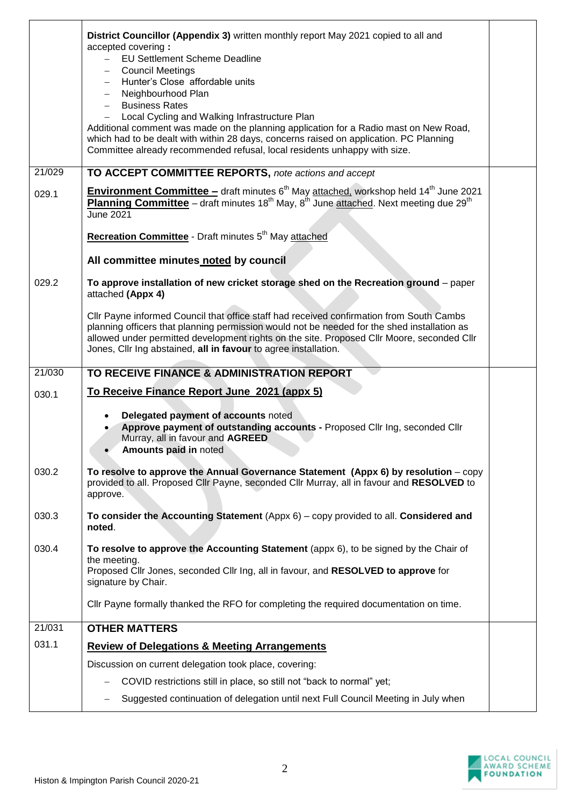|        | District Councillor (Appendix 3) written monthly report May 2021 copied to all and<br>accepted covering:<br><b>EU Settlement Scheme Deadline</b><br><b>Council Meetings</b><br>$\overline{\phantom{0}}$<br>Hunter's Close affordable units<br>Neighbourhood Plan<br><b>Business Rates</b><br>Local Cycling and Walking Infrastructure Plan<br>Additional comment was made on the planning application for a Radio mast on New Road, |  |
|--------|-------------------------------------------------------------------------------------------------------------------------------------------------------------------------------------------------------------------------------------------------------------------------------------------------------------------------------------------------------------------------------------------------------------------------------------|--|
|        | which had to be dealt with within 28 days, concerns raised on application. PC Planning<br>Committee already recommended refusal, local residents unhappy with size.                                                                                                                                                                                                                                                                 |  |
| 21/029 | TO ACCEPT COMMITTEE REPORTS, note actions and accept                                                                                                                                                                                                                                                                                                                                                                                |  |
| 029.1  | Environment Committee - draft minutes 6 <sup>th</sup> May attached, workshop held 14 <sup>th</sup> June 2021<br>Planning Committee - draft minutes 18 <sup>th</sup> May, 8 <sup>th</sup> June attached. Next meeting due 29 <sup>th</sup><br><b>June 2021</b>                                                                                                                                                                       |  |
|        | Recreation Committee - Draft minutes 5 <sup>th</sup> May attached                                                                                                                                                                                                                                                                                                                                                                   |  |
|        | All committee minutes noted by council                                                                                                                                                                                                                                                                                                                                                                                              |  |
| 029.2  | To approve installation of new cricket storage shed on the Recreation ground - paper<br>attached (Appx 4)                                                                                                                                                                                                                                                                                                                           |  |
|        | Cllr Payne informed Council that office staff had received confirmation from South Cambs<br>planning officers that planning permission would not be needed for the shed installation as<br>allowed under permitted development rights on the site. Proposed Cllr Moore, seconded Cllr<br>Jones, Cllr Ing abstained, all in favour to agree installation.                                                                            |  |
| 21/030 | TO RECEIVE FINANCE & ADMINISTRATION REPORT                                                                                                                                                                                                                                                                                                                                                                                          |  |
| 030.1  | To Receive Finance Report June 2021 (appx 5)                                                                                                                                                                                                                                                                                                                                                                                        |  |
|        | Delegated payment of accounts noted<br>Approve payment of outstanding accounts - Proposed Cllr Ing, seconded Cllr<br>Murray, all in favour and AGREED<br>Amounts paid in noted                                                                                                                                                                                                                                                      |  |
| 030.2  | To resolve to approve the Annual Governance Statement (Appx $6$ ) by resolution $-$ copy<br>provided to all. Proposed Cllr Payne, seconded Cllr Murray, all in favour and RESOLVED to<br>approve.                                                                                                                                                                                                                                   |  |
| 030.3  | To consider the Accounting Statement $(Appx 6) - copy$ provided to all. Considered and<br>noted.                                                                                                                                                                                                                                                                                                                                    |  |
| 030.4  | To resolve to approve the Accounting Statement (appx 6), to be signed by the Chair of<br>the meeting.<br>Proposed Cllr Jones, seconded Cllr Ing, all in favour, and RESOLVED to approve for<br>signature by Chair.                                                                                                                                                                                                                  |  |
|        | Cllr Payne formally thanked the RFO for completing the required documentation on time.                                                                                                                                                                                                                                                                                                                                              |  |
| 21/031 | <b>OTHER MATTERS</b>                                                                                                                                                                                                                                                                                                                                                                                                                |  |
| 031.1  | <b>Review of Delegations &amp; Meeting Arrangements</b>                                                                                                                                                                                                                                                                                                                                                                             |  |
|        | Discussion on current delegation took place, covering:                                                                                                                                                                                                                                                                                                                                                                              |  |
|        | COVID restrictions still in place, so still not "back to normal" yet;                                                                                                                                                                                                                                                                                                                                                               |  |
|        | Suggested continuation of delegation until next Full Council Meeting in July when                                                                                                                                                                                                                                                                                                                                                   |  |